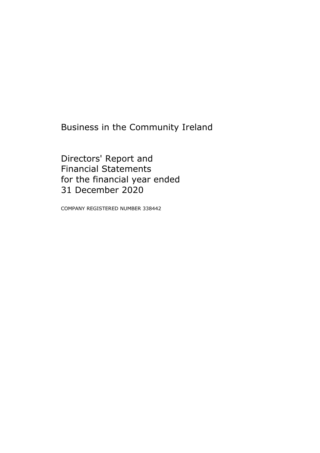Business in the Community Ireland

Directors' Report and Financial Statements for the financial year ended 31 December 2020

COMPANY REGISTERED NUMBER 338442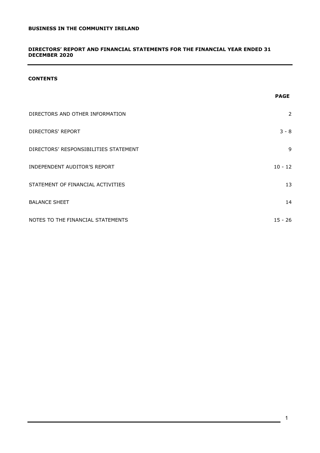## **DIRECTORS' REPORT AND FINANCIAL STATEMENTS FOR THE FINANCIAL YEAR ENDED 31 DECEMBER 2020**

# **CONTENTS**

|                                       | <b>PAGE</b> |
|---------------------------------------|-------------|
| DIRECTORS AND OTHER INFORMATION       | 2           |
| DIRECTORS' REPORT                     | $3 - 8$     |
| DIRECTORS' RESPONSIBILITIES STATEMENT | 9           |
| <b>INDEPENDENT AUDITOR'S REPORT</b>   | $10 - 12$   |
| STATEMENT OF FINANCIAL ACTIVITIES     | 13          |
| <b>BALANCE SHEET</b>                  | 14          |
| NOTES TO THE FINANCIAL STATEMENTS     | $15 - 26$   |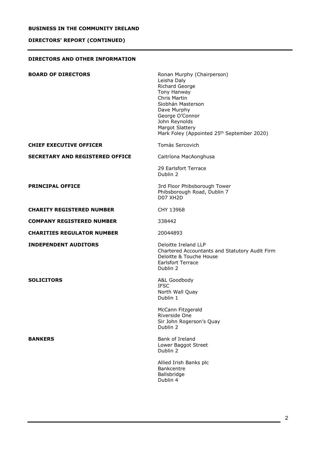# **DIRECTORS' REPORT (CONTINUED)**

## <span id="page-2-0"></span>**DIRECTORS AND OTHER INFORMATION**

| <b>BOARD OF DIRECTORS</b>              | Ronan Murphy (Chairperson)<br>Leisha Daly<br>Richard George<br>Tony Hanway<br>Chris Martin<br>Siobhán Masterson<br>Dave Murphy<br>George O'Connor<br>John Reynolds<br><b>Margot Slattery</b><br>Mark Foley (Appointed 25 <sup>th</sup> September 2020) |
|----------------------------------------|--------------------------------------------------------------------------------------------------------------------------------------------------------------------------------------------------------------------------------------------------------|
| <b>CHIEF EXECUTIVE OFFICER</b>         | Tomás Sercovich                                                                                                                                                                                                                                        |
| <b>SECRETARY AND REGISTERED OFFICE</b> | Caitríona MacAonghusa                                                                                                                                                                                                                                  |
|                                        | 29 Earlsfort Terrace<br>Dublin 2                                                                                                                                                                                                                       |
| <b>PRINCIPAL OFFICE</b>                | 3rd Floor Phibsborough Tower<br>Phibsborough Road, Dublin 7<br><b>D07 XH2D</b>                                                                                                                                                                         |
| <b>CHARITY REGISTERED NUMBER</b>       | CHY 13968                                                                                                                                                                                                                                              |
| <b>COMPANY REGISTERED NUMBER</b>       | 338442                                                                                                                                                                                                                                                 |
| <b>CHARITIES REGULATOR NUMBER</b>      | 20044893                                                                                                                                                                                                                                               |
| <b>INDEPENDENT AUDITORS</b>            | Deloitte Ireland LLP<br>Chartered Accountants and Statutory Audit Firm<br>Deloitte & Touche House<br><b>Earlsfort Terrace</b><br>Dublin 2                                                                                                              |
| <b>SOLICITORS</b>                      | A&L Goodbody<br><b>IFSC</b><br>North Wall Quay<br>Dublin 1                                                                                                                                                                                             |
|                                        | McCann Fitzgerald<br>Riverside One<br>Sir John Rogerson's Quay<br>Dublin 2                                                                                                                                                                             |
| <b>BANKERS</b>                         | Bank of Ireland<br>Lower Baggot Street<br>Dublin 2                                                                                                                                                                                                     |
|                                        | Allied Irish Banks plc<br><b>Bankcentre</b><br>Ballsbridge<br>Dublin 4                                                                                                                                                                                 |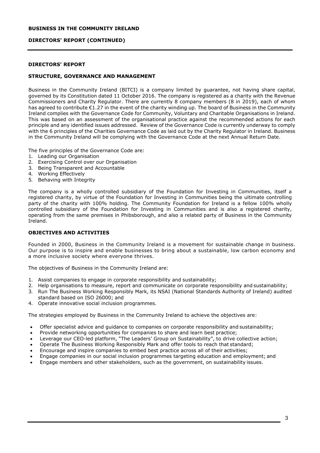## **DIRECTORS' REPORT (CONTINUED)**

## **DIRECTORS' REPORT**

## **STRUCTURE, GOVERNANCE AND MANAGEMENT**

Business in the Community Ireland (BITCI) is a company limited by guarantee, not having share capital, governed by its Constitution dated 11 October 2016. The company is registered as a charity with the Revenue Commissioners and Charity Regulator. There are currently 8 company members (8 in 2019), each of whom has agreed to contribute €1.27 in the event of the charity winding up. The board of Business in the Community Ireland complies with the Governance Code for Community, Voluntary and Charitable Organisations in Ireland. This was based on an assessment of the organisational practice against the recommended actions for each principle and any identified issues addressed. Review of the Governance Code is currently underway to comply with the 6 principles of the Charities Governance Code as laid out by the Charity Regulator in Ireland. Business in the Community Ireland will be complying with the Governance Code at the next Annual Return Date.

The five principles of the Governance Code are:

- 1. Leading our Organisation
- 2. Exercising Control over our Organisation
- 3. Being Transparent and Accountable
- 4. Working Effectively
- 5. Behaving with Integrity

The company is a wholly controlled subsidiary of the Foundation for Investing in Communities, itself a registered charity, by virtue of the Foundation for Investing in Communities being the ultimate controlling party of the charity with 100% holding. The Community Foundation for Ireland is a fellow 100% wholly controlled subsidiary of the Foundation for Investing in Communities and is also a registered charity, operating from the same premises in Phibsborough, and also a related party of Business in the Community Ireland.

# **OBJECTIVES AND ACTIVITIES**

Founded in 2000, Business in the Community Ireland is a movement for sustainable change in business. Our purpose is to inspire and enable businesses to bring about a sustainable, low carbon economy and a more inclusive society where everyone thrives.

The objectives of Business in the Community Ireland are:

- 1. Assist companies to engage in corporate responsibility and sustainability;
- 2. Help organisations to measure, report and communicate on corporate responsibility and sustainability;
- 3. Run The Business Working Responsibly Mark, its NSAI (National Standards Authority of Ireland) audited standard based on ISO 26000; and
- 4. Operate innovative social inclusion programmes.

The strategies employed by Business in the Community Ireland to achieve the objectives are:

- Offer specialist advice and guidance to companies on corporate responsibility and sustainability;
- Provide networking opportunities for companies to share and learn best practice;
- Leverage our CEO-led platform, "The Leaders' Group on Sustainability", to drive collective action;
- Operate The Business Working Responsibly Mark and offer tools to reach that standard;
- Encourage and inspire companies to embed best practice across all of their activities;
- Engage companies in our social inclusion programmes targeting education and employment; and
- Engage members and other stakeholders, such as the government, on sustainability issues.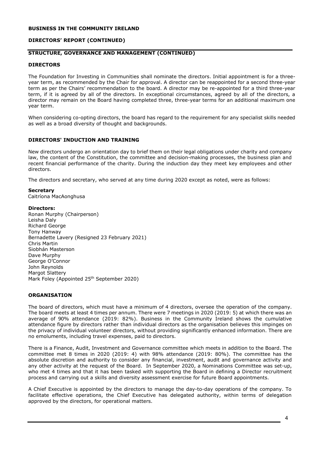## **DIRECTORS' REPORT (CONTINUED)**

## **STRUCTURE, GOVERNANCE AND MANAGEMENT (CONTINUED)**

#### **DIRECTORS**

The Foundation for Investing in Communities shall nominate the directors. Initial appointment is for a threeyear term, as recommended by the Chair for approval. A director can be reappointed for a second three-year term as per the Chairs' recommendation to the board. A director may be re-appointed for a third three-year term, if it is agreed by all of the directors. In exceptional circumstances, agreed by all of the directors, a director may remain on the Board having completed three, three-year terms for an additional maximum one year term.

When considering co-opting directors, the board has regard to the requirement for any specialist skills needed as well as a broad diversity of thought and backgrounds.

## **DIRECTORS' INDUCTION AND TRAINING**

New directors undergo an orientation day to brief them on their legal obligations under charity and company law, the content of the Constitution, the committee and decision-making processes, the business plan and recent financial performance of the charity. During the induction day they meet key employees and other directors.

The directors and secretary, who served at any time during 2020 except as noted, were as follows:

#### **Secretary**

Caitríona MacAonghusa

#### **Directors:**

Ronan Murphy (Chairperson) Leisha Daly Richard George Tony Hanway Bernadette Lavery (Resigned 23 February 2021) Chris Martin Siobhán Masterson Dave Murphy George O'Connor John Reynolds Margot Slattery Mark Foley (Appointed 25<sup>th</sup> September 2020)

## **ORGANISATION**

The board of directors, which must have a minimum of 4 directors, oversee the operation of the company. The board meets at least 4 times per annum. There were 7 meetings in 2020 (2019: 5) at which there was an average of 90% attendance (2019: 82%). Business in the Community Ireland shows the cumulative attendance figure by directors rather than individual directors as the organisation believes this impinges on the privacy of individual volunteer directors, without providing significantly enhanced information. There are no emoluments, including travel expenses, paid to directors.

There is a Finance, Audit, Investment and Governance committee which meets in addition to the Board. The committee met 8 times in 2020 (2019: 4) with 98% attendance (2019: 80%). The committee has the absolute discretion and authority to consider any financial, investment, audit and governance activity and any other activity at the request of the Board. In September 2020, a Nominations Committee was set-up, who met 4 times and that it has been tasked with supporting the Board in defining a Director recruitment process and carrying out a skills and diversity assessment exercise for future Board appointments.

A Chief Executive is appointed by the directors to manage the day-to-day operations of the company. To facilitate effective operations, the Chief Executive has delegated authority, within terms of delegation approved by the directors, for operational matters.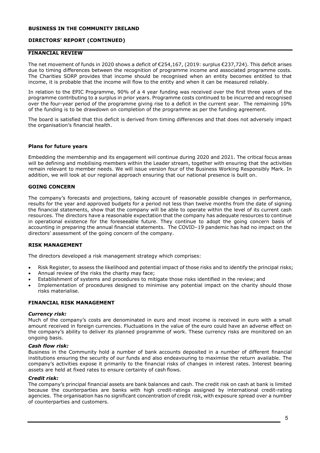# **DIRECTORS' REPORT (CONTINUED)**

## **FINANCIAL REVIEW**

The net movement of funds in 2020 shows a deficit of €254,167, (2019: surplus €237,724). This deficit arises due to timing differences between the recognition of programme income and associated programme costs. The Charities SORP provides that income should be recognised when an entity becomes entitled to that income, it is probable that the income will flow to the entity and when it can be measured reliably.

In relation to the EPIC Programme, 90% of a 4 year funding was received over the first three years of the programme contributing to a surplus in prior years. Programme costs continued to be incurred and recognised over the four-year period of the programme giving rise to a deficit in the current year. The remaining 10% of the funding is to be drawdown on completion of the programme as per the funding agreement.

The board is satisfied that this deficit is derived from timing differences and that does not adversely impact the organisation's financial health.

#### **Plans for future years**

Embedding the membership and its engagement will continue during 2020 and 2021. The critical focus areas will be defining and mobilising members within the Leader stream, together with ensuring that the activities remain relevant to member needs. We will issue version four of the Business Working Responsibly Mark. In addition, we will look at our regional approach ensuring that our national presence is built on.

## **GOING CONCERN**

The company's forecasts and projections, taking account of reasonable possible changes in performance, results for the year and approved budgets for a period not less than twelve months from the date of signing the financial statements, show that the company will be able to operate within the level of its current cash resources. The directors have a reasonable expectation that the company has adequate resources to continue in operational existence for the foreseeable future. They continue to adopt the going concern basis of accounting in preparing the annual financial statements. The COVID–19 pandemic has had no impact on the directors' assessment of the going concern of the company.

## **RISK MANAGEMENT**

The directors developed a risk management strategy which comprises:

- Risk Register, to assess the likelihood and potential impact of those risks and to identify the principal risks;
- Annual review of the risks the charity may face;
- Establishment of systems and procedures to mitigate those risks identified in the review; and
- Implementation of procedures designed to minimise any potential impact on the charity should those risks materialise.

## **FINANCIAL RISK MANAGEMENT**

#### *Currency risk:*

Much of the company's costs are denominated in euro and most income is received in euro with a small amount received in foreign currencies. Fluctuations in the value of the euro could have an adverse effect on the company's ability to deliver its planned programme of work. These currency risks are monitored on an ongoing basis.

#### *Cash flow risk:*

Business in the Community hold a number of bank accounts deposited in a number of different financial institutions ensuring the security of our funds and also endeavouring to maximise the return available. The company's activities expose it primarily to the financial risks of changes in interest rates. Interest bearing assets are held at fixed rates to ensure certainty of cash flows.

#### *Credit risk:*

The company's principal financial assets are bank balances and cash. The credit risk on cash at bank is limited because the counterparties are banks with high credit-ratings assigned by international credit-rating agencies. The organisation has no significant concentration of credit risk, with exposure spread over a number of counterparties and customers.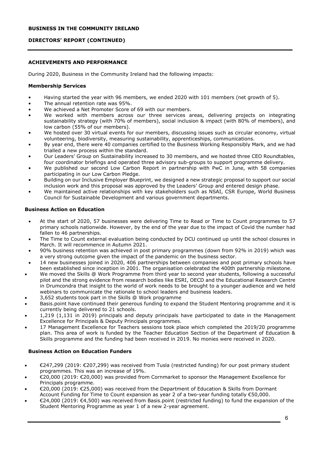# **DIRECTORS' REPORT (CONTINUED)**

# **ACHIEVEMENTS AND PERFORMANCE**

During 2020, Business in the Community Ireland had the following impacts:

## **Membership Services**

- Having started the year with 96 members, we ended 2020 with 101 members (net growth of 5).
- The annual retention rate was 95%.
- We achieved a Net Promoter Score of 69 with our members.
- We worked with members across our three services areas, delivering projects on integrating sustainability strategy (with 70% of members), social inclusion & impact (with 80% of members), and low carbon (55% of our members).
- We hosted over 30 virtual events for our members, discussing issues such as circular economy, virtual volunteering, biodiversity, measuring sustainability, apprenticeships, communications.
- By year end, there were 40 companies certified to the Business Working Responsibly Mark, and we had trialled a new process within the standard.
- Our Leaders' Group on Sustainability increased to 30 members, and we hosted three CEO Roundtables, four coordinator briefings and operated three advisory sub-groups to support programme delivery.
- We published our second Low Carbon Report in partnership with PwC in June, with 58 companies participating in our Low Carbon Pledge.
- Building on our Inclusive Employer Blueprint, we designed a new strategic proposal to support our social inclusion work and this proposal was approved by the Leaders' Group and entered design phase.
- We maintained active relationships with key stakeholders such as NSAI, CSR Europe, World Business Council for Sustainable Development and various government departments.

## **Business Action on Education**

- At the start of 2020, 57 businesses were delivering Time to Read or Time to Count programmes to 57 primary schools nationwide. However, by the end of the year due to the impact of Covid the number had fallen to 46 partnerships.
- The Time to Count external evaluation being conducted by DCU continued up until the school closures in March. It will recommence in Autumn 2021.
- 90% business retention was achieved in post primary programmes (down from 92% in 2019) which was a very strong outcome given the impact of the pandemic on the business sector.
- 14 new businesses joined in 2020, 406 partnerships between companies and post primary schools have been established since inception in 2001. The organisation celebrated the 400th partnership milestone.
- We moved the Skills @ Work Programme from third year to second year students, following a successful pilot and the strong evidence from research bodies like ESRI, OECD and the Educational Research Centre in Drumcondra that insight to the world of work needs to be brought to a younger audience and we held webinars to communicate the rationale to school leaders and business leaders.
- 3,652 students took part in the Skills @ Work programme
- Basis.point have continued their generous funding to expand the Student Mentoring programme and it is currently being delivered to 21 schools.
- 1,219 (1,131 in 2019) principals and deputy principals have participated to date in the Management Excellence for Principals & Deputy Principals programmes.
- 17 Management Excellence for Teachers sessions took place which completed the 2019/20 programme plan. This area of work is funded by the Teacher Education Section of the Department of Education & Skills programme and the funding had been received in 2019. No monies were received in 2020.

# **Business Action on Education Funders**

- €247,299 (2019: €207,299) was received from Tusla (restricted funding) for our post primary student programmes. This was an increase of 19%.
- €20,000 (2019: €20,000) was provided from Cornmarket to sponsor the Management Excellence for Principals programme.
- €20,000 (2019: €25,000) was received from the Department of Education & Skills from Dormant Account Funding for Time to Count expansion as year 2 of a two-year funding totally €50,000.
- €24,000 (2019: €4,500) was received from Basis.point (restricted funding) to fund the expansion of the Student Mentoring Programme as year 1 of a new 2-year agreement.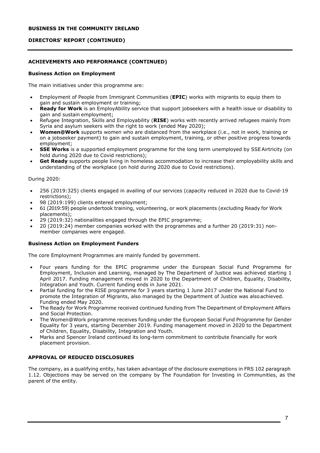# **DIRECTORS' REPORT (CONTINUED)**

# **ACHIEVEMENTS AND PERFORMANCE (CONTINUED)**

## **Business Action on Employment**

The main initiatives under this programme are:

- Employment of People from Immigrant Communities (**EPIC**) works with migrants to equip them to gain and sustain employment or training;
- **Ready for Work** is an EmployAbility service that support jobseekers with a health issue or disability to gain and sustain employment;
- Refugee Integration, Skills and Employability (**RISE**) works with recently arrived refugees mainly from Syria and asylum seekers with the right to work (ended May 2020);
- **Women@Work** supports women who are distanced from the workplace (i.e., not in work, training or on a jobseeker payment) to gain and sustain employment, training, or other positive progress towards employment;
- **SSE Works** is a supported employment programme for the long term unemployed by SSE Airtricity (on hold during 2020 due to Covid restrictions);
- **Get Ready** supports people living in homeless accommodation to increase their employability skills and understanding of the workplace (on hold during 2020 due to Covid restrictions).

#### During 2020:

- 256 (2019:325) clients engaged in availing of our services (capacity reduced in 2020 due to Covid-19 restrictions);
- 98 (2019:199) clients entered employment;
- 61 (2019:59) people undertook training, volunteering, or work placements (excluding Ready for Work placements);
- 29 (2019:32) nationalities engaged through the EPIC programme;
- 20 (2019:24) member companies worked with the programmes and a further 20 (2019:31) nonmember companies were engaged.

## **Business Action on Employment Funders**

The core Employment Programmes are mainly funded by government.

- Four years funding for the EPIC programme under the European Social Fund Programme for Employment, Inclusion and Learning, managed by The Department of Justice was achieved starting 1 April 2017. Funding management moved in 2020 to the Department of Children, Equality, Disability, Integration and Youth. Current funding ends in June 2021.
- Partial funding for the RISE programme for 3 years starting 1 June 2017 under the National Fund to promote the Integration of Migrants, also managed by the Department of Justice was also achieved. Funding ended May 2020.
- The Ready for Work Programme received continued funding from The Department of Employment Affairs and Social Protection.
- The Women@Work programme receives funding under the European Social Fund Programme for Gender Equality for 3 years, starting December 2019. Funding management moved in 2020 to the Department of Children, Equality, Disability, Integration and Youth.
- Marks and Spencer Ireland continued its long-term commitment to contribute financially for work placement provision.

## **APPROVAL OF REDUCED DISCLOSURES**

The company, as a qualifying entity, has taken advantage of the disclosure exemptions in FRS 102 paragraph 1.12. Objections may be served on the company by The Foundation for Investing in Communities, as the parent of the entity.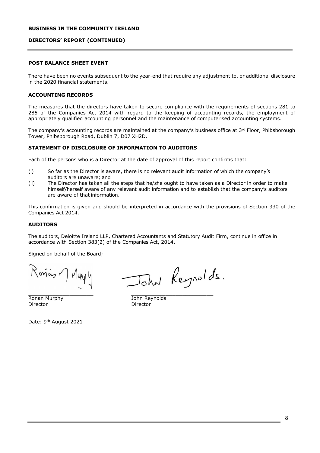## **DIRECTORS' REPORT (CONTINUED)**

# **POST BALANCE SHEET EVENT**

There have been no events subsequent to the year-end that require any adjustment to, or additional disclosure in the 2020 financial statements.

#### **ACCOUNTING RECORDS**

The measures that the directors have taken to secure compliance with the requirements of sections 281 to 285 of the Companies Act 2014 with regard to the keeping of accounting records, the employment of appropriately qualified accounting personnel and the maintenance of computerised accounting systems.

The company's accounting records are maintained at the company's business office at 3rd Floor, Phibsborough Tower, Phibsborough Road, Dublin 7, D07 XH2D.

## **STATEMENT OF DISCLOSURE OF INFORMATION TO AUDITORS**

Each of the persons who is a Director at the date of approval of this report confirms that:

- (i) So far as the Director is aware, there is no relevant audit information of which the company's auditors are unaware; and
- (ii) The Director has taken all the steps that he/she ought to have taken as a Director in order to make himself/herself aware of any relevant audit information and to establish that the company's auditors are aware of that information.

This confirmation is given and should be interpreted in accordance with the provisions of Section 330 of the Companies Act 2014.

## **AUDITORS**

The auditors, Deloitte Ireland LLP, Chartered Accountants and Statutory Audit Firm, continue in office in accordance with Section 383(2) of the Companies Act, 2014.

Signed on behalf of the Board;

Rosins ) Muy y

John Reynolds.

 $\overline{\phantom{a}}$  , and the set of the set of the set of the set of the set of the set of the set of the set of the set of the set of the set of the set of the set of the set of the set of the set of the set of the set of the s **Ronan Murphy The Community Community Ronan Murphy Community Community Director** Director Director

Date: 9th August 2021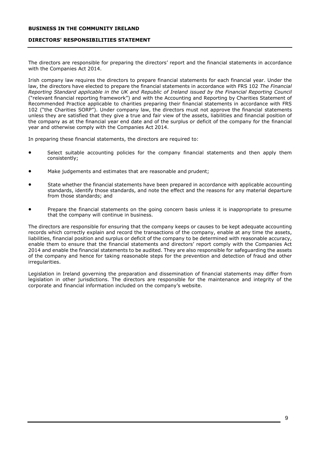#### <span id="page-9-0"></span>**DIRECTORS' RESPONSIBILITIES STATEMENT**

The directors are responsible for preparing the directors' report and the financial statements in accordance with the Companies Act 2014.

Irish company law requires the directors to prepare financial statements for each financial year. Under the law, the directors have elected to prepare the financial statements in accordance with FRS 102 *The Financial Reporting Standard applicable in the UK and Republic of Ireland issued by the Financial Reporting Council*  ("relevant financial reporting framework") and with the Accounting and Reporting by Charities Statement of Recommended Practice applicable to charities preparing their financial statements in accordance with FRS 102 ("the Charities SORP"). Under company law, the directors must not approve the financial statements unless they are satisfied that they give a true and fair view of the assets, liabilities and financial position of the company as at the financial year end date and of the surplus or deficit of the company for the financial year and otherwise comply with the Companies Act 2014.

In preparing these financial statements, the directors are required to:

- Select suitable accounting policies for the company financial statements and then apply them consistently;
- Make judgements and estimates that are reasonable and prudent;
- State whether the financial statements have been prepared in accordance with applicable accounting standards, identify those standards, and note the effect and the reasons for any material departure from those standards; and
- Prepare the financial statements on the going concern basis unless it is inappropriate to presume that the company will continue in business.

The directors are responsible for ensuring that the company keeps or causes to be kept adequate accounting records which correctly explain and record the transactions of the company, enable at any time the assets, liabilities, financial position and surplus or deficit of the company to be determined with reasonable accuracy, enable them to ensure that the financial statements and directors' report comply with the Companies Act 2014 and enable the financial statements to be audited. They are also responsible for safeguarding the assets of the company and hence for taking reasonable steps for the prevention and detection of fraud and other irregularities.

Legislation in Ireland governing the preparation and dissemination of financial statements may differ from legislation in other jurisdictions. The directors are responsible for the maintenance and integrity of the corporate and financial information included on the company's website.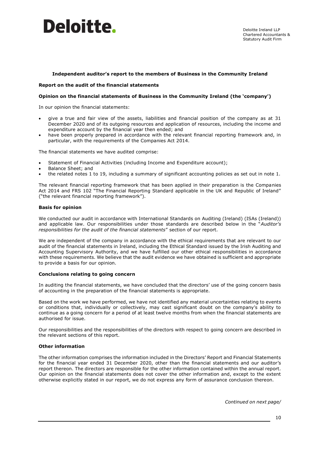

#### **Independent auditor's report to the members of Business in the Community Ireland**

#### **Report on the audit of the financial statements**

#### **Opinion on the financial statements of Business in the Community Ireland (the 'company')**

In our opinion the financial statements:

- give a true and fair view of the assets, liabilities and financial position of the company as at 31 December 2020 and of its outgoing resources and application of resources, including the income and expenditure account by the financial year then ended; and
- have been properly prepared in accordance with the relevant financial reporting framework and, in particular, with the requirements of the Companies Act 2014.

The financial statements we have audited comprise:

- Statement of Financial Activities (including Income and Expenditure account);
- Balance Sheet; and
- the related notes 1 to 19, including a summary of significant accounting policies as set out in note 1.

The relevant financial reporting framework that has been applied in their preparation is the Companies Act 2014 and FRS 102 "The Financial Reporting Standard applicable in the UK and Republic of Ireland" ("the relevant financial reporting framework").

#### **Basis for opinion**

We conducted our audit in accordance with International Standards on Auditing (Ireland) (ISAs (Ireland)) and applicable law. Our responsibilities under those standards are described below in the "*Auditor's responsibilities for the audit of the financial statements*" section of our report.

We are independent of the company in accordance with the ethical requirements that are relevant to our audit of the financial statements in Ireland, including the Ethical Standard issued by the Irish Auditing and Accounting Supervisory Authority, and we have fulfilled our other ethical responsibilities in accordance with these requirements. We believe that the audit evidence we have obtained is sufficient and appropriate to provide a basis for our opinion.

#### **Conclusions relating to going concern**

In auditing the financial statements, we have concluded that the directors' use of the going concern basis of accounting in the preparation of the financial statements is appropriate.

Based on the work we have performed, we have not identified any material uncertainties relating to events or conditions that, individually or collectively, may cast significant doubt on the company's ability to continue as a going concern for a period of at least twelve months from when the financial statements are authorised for issue.

Our responsibilities and the responsibilities of the directors with respect to going concern are described in the relevant sections of this report.

#### **Other information**

The other information comprises the information included in the Directors' Report and Financial Statements for the financial year ended 31 December 2020, other than the financial statements and our auditor's report thereon. The directors are responsible for the other information contained within the annual report. Our opinion on the financial statements does not cover the other information and, except to the extent otherwise explicitly stated in our report, we do not express any form of assurance conclusion thereon.

 *Continued on next page/*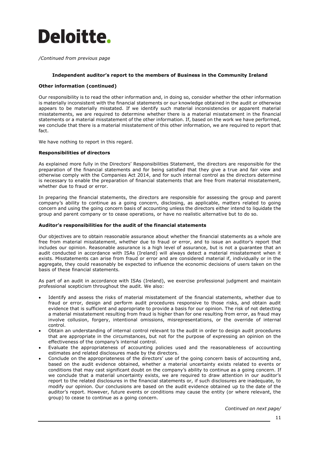# Deloitte.

*/Continued from previous page*

#### **Independent auditor's report to the members of Business in the Community Ireland**

#### **Other information (continued)**

Our responsibility is to read the other information and, in doing so, consider whether the other information is materially inconsistent with the financial statements or our knowledge obtained in the audit or otherwise appears to be materially misstated. If we identify such material inconsistencies or apparent material misstatements, we are required to determine whether there is a material misstatement in the financial statements or a material misstatement of the other information. If, based on the work we have performed, we conclude that there is a material misstatement of this other information, we are required to report that fact.

We have nothing to report in this regard.

#### **Responsibilities of directors**

As explained more fully in the Directors' Responsibilities Statement, the directors are responsible for the preparation of the financial statements and for being satisfied that they give a true and fair view and otherwise comply with the Companies Act 2014, and for such internal control as the directors determine is necessary to enable the preparation of financial statements that are free from material misstatement, whether due to fraud or error.

In preparing the financial statements, the directors are responsible for assessing the group and parent company's ability to continue as a going concern, disclosing, as applicable, matters related to going concern and using the going concern basis of accounting unless the directors either intend to liquidate the group and parent company or to cease operations, or have no realistic alternative but to do so.

#### **Auditor's responsibilities for the audit of the financial statements**

Our objectives are to obtain reasonable assurance about whether the financial statements as a whole are free from material misstatement, whether due to fraud or error, and to issue an auditor's report that includes our opinion. Reasonable assurance is a high level of assurance, but is not a guarantee that an audit conducted in accordance with ISAs (Ireland) will always detect a material misstatement when it exists. Misstatements can arise from fraud or error and are considered material if, individually or in the aggregate, they could reasonably be expected to influence the economic decisions of users taken on the basis of these financial statements.

As part of an audit in accordance with ISAs (Ireland), we exercise professional judgment and maintain professional scepticism throughout the audit. We also:

- Identify and assess the risks of material misstatement of the financial statements, whether due to fraud or error, design and perform audit procedures responsive to those risks, and obtain audit evidence that is sufficient and appropriate to provide a basis for our opinion. The risk of not detecting a material misstatement resulting from fraud is higher than for one resulting from error, as fraud may involve collusion, forgery, intentional omissions, misrepresentations, or the override of internal control.
- Obtain an understanding of internal control relevant to the audit in order to design audit procedures that are appropriate in the circumstances, but not for the purpose of expressing an opinion on the effectiveness of the company's internal control.
- Evaluate the appropriateness of accounting policies used and the reasonableness of accounting estimates and related disclosures made by the directors.
- Conclude on the appropriateness of the directors' use of the going concern basis of accounting and, based on the audit evidence obtained, whether a material uncertainty exists related to events or conditions that may cast significant doubt on the company's ability to continue as a going concern. If we conclude that a material uncertainty exists, we are required to draw attention in our auditor's report to the related disclosures in the financial statements or, if such disclosures are inadequate, to modify our opinion. Our conclusions are based on the audit evidence obtained up to the date of the auditor's report. However, future events or conditions may cause the entity (or where relevant, the group) to cease to continue as a going concern.

*Continued on next page/*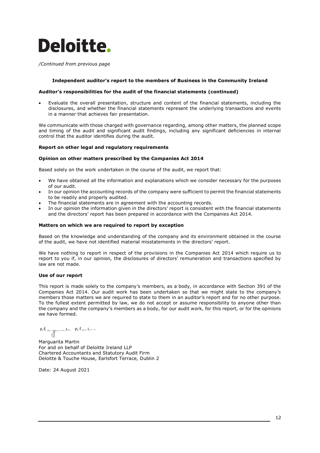

*/Continued from previous page*

#### **Independent auditor's report to the members of Business in the Community Ireland**

#### **Auditor's responsibilities for the audit of the financial statements (continued)**

• Evaluate the overall presentation, structure and content of the financial statements, including the disclosures, and whether the financial statements represent the underlying transactions and events in a manner that achieves fair presentation.

We communicate with those charged with governance regarding, among other matters, the planned scope and timing of the audit and significant audit findings, including any significant deficiencies in internal control that the auditor identifies during the audit.

#### **Report on other legal and regulatory requirements**

#### **Opinion on other matters prescribed by the Companies Act 2014**

Based solely on the work undertaken in the course of the audit, we report that:

- We have obtained all the information and explanations which we consider necessary for the purposes of our audit.
- In our opinion the accounting records of the company were sufficient to permit the financial statements to be readily and properly audited.
- The financial statements are in agreement with the accounting records.
- In our opinion the information given in the directors' report is consistent with the financial statements and the directors' report has been prepared in accordance with the Companies Act 2014.

#### **Matters on which we are required to report by exception**

Based on the knowledge and understanding of the company and its environment obtained in the course of the audit, we have not identified material misstatements in the directors' report.

We have nothing to report in respect of the provisions in the Companies Act 2014 which require us to report to you if, in our opinion, the disclosures of directors' remuneration and transactions specified by law are not made.

#### **Use of our report**

This report is made solely to the company's members, as a body, in accordance with Section 391 of the Companies Act 2014. Our audit work has been undertaken so that we might state to the company's members those matters we are required to state to them in an auditor's report and for no other purpose. To the fullest extent permitted by law, we do not accept or assume responsibility to anyone other than the company and the company's members as a body, for our audit work, for this report, or for the opinions we have formed.

Marguarita Martin For and on behalf of Deloitte Ireland LLP Chartered Accountants and Statutory Audit Firm Deloitte & Touche House, Earlsfort Terrace, Dublin 2

Date: 24 August 2021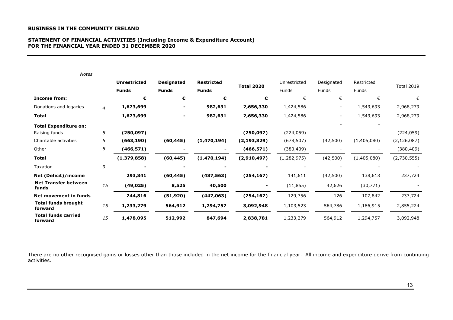## **STATEMENT OF FINANCIAL ACTIVITIES (Including Income & Expenditure Account) FOR THE FINANCIAL YEAR ENDED 31 DECEMBER 2020**

| <b>Notes</b>                          |    |                     |                   |                   |                   |              |              |              |                   |
|---------------------------------------|----|---------------------|-------------------|-------------------|-------------------|--------------|--------------|--------------|-------------------|
|                                       |    | <b>Unrestricted</b> | <b>Designated</b> | <b>Restricted</b> | <b>Total 2020</b> | Unrestricted | Designated   | Restricted   | <b>Total 2019</b> |
|                                       |    | <b>Funds</b>        | <b>Funds</b>      | <b>Funds</b>      |                   | <b>Funds</b> | <b>Funds</b> | <b>Funds</b> |                   |
| <b>Income from:</b>                   |    | €                   | €                 | €                 | €                 | €            | €            | €            | €                 |
| Donations and legacies                | 4  | 1,673,699           |                   | 982,631           | 2,656,330         | 1,424,586    |              | 1,543,693    | 2,968,279         |
| <b>Total</b>                          |    | 1,673,699           |                   | 982,631           | 2,656,330         | 1,424,586    |              | 1,543,693    | 2,968,279         |
| <b>Total Expenditure on:</b>          |    |                     |                   |                   |                   |              |              |              |                   |
| Raising funds                         | 5  | (250, 097)          |                   |                   | (250, 097)        | (224, 059)   |              |              | (224, 059)        |
| Charitable activities                 | 5  | (663, 190)          | (60, 445)         | (1,470,194)       | (2, 193, 829)     | (678, 507)   | (42,500)     | (1,405,080)  | (2, 126, 087)     |
| Other                                 | 5  | (466, 571)          |                   |                   | (466, 571)        | (380, 409)   |              |              | (380,409)         |
| Total                                 |    | (1,379,858)         | (60, 445)         | (1,470,194)       | (2,910,497)       | (1,282,975)  | (42,500)     | (1,405,080)  | (2,730,555)       |
| Taxation                              | 9  |                     |                   |                   |                   |              |              |              |                   |
| <b>Net (Deficit)/income</b>           |    | 293,841             | (60, 445)         | (487, 563)        | (254, 167)        | 141,611      | (42,500)     | 138,613      | 237,724           |
| <b>Net Transfer between</b><br>funds  | 15 | (49, 025)           | 8,525             | 40,500            |                   | (11, 855)    | 42,626       | (30, 771)    |                   |
| Net movement in funds                 |    | 244,816             | (51, 920)         | (447,063)         | (254, 167)        | 129,756      | 126          | 107,842      | 237,724           |
| <b>Total funds brought</b><br>forward | 15 | 1,233,279           | 564,912           | 1,294,757         | 3,092,948         | 1,103,523    | 564,786      | 1,186,915    | 2,855,224         |
| <b>Total funds carried</b><br>forward | 15 | 1,478,095           | 512,992           | 847,694           | 2,838,781         | 1,233,279    | 564,912      | 1,294,757    | 3,092,948         |

There are no other recognised gains or losses other than those included in the net income for the financial year. All income and expenditure derive from continuing activities.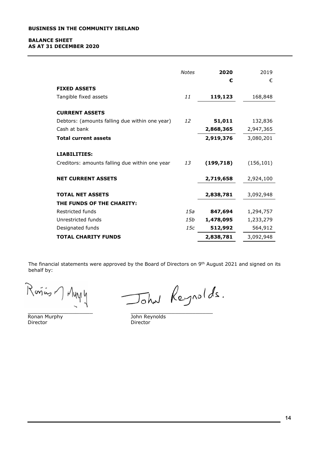#### **BALANCE SHEET AS AT 31 DECEMBER 2020**

|                                                                       | <b>Notes</b> | 2020<br>€  | 2019<br>€  |
|-----------------------------------------------------------------------|--------------|------------|------------|
| <b>FIXED ASSETS</b>                                                   |              |            |            |
| Tangible fixed assets                                                 | 11           | 119,123    | 168,848    |
| <b>CURRENT ASSETS</b>                                                 |              |            |            |
| Debtors: (amounts falling due within one year)                        | 12           | 51,011     | 132,836    |
| Cash at bank                                                          |              | 2,868,365  | 2,947,365  |
| <b>Total current assets</b>                                           |              | 2,919,376  | 3,080,201  |
| <b>LIABILITIES:</b><br>Creditors: amounts falling due within one year | 13           | (199, 718) | (156, 101) |
| <b>NET CURRENT ASSETS</b>                                             |              | 2,719,658  | 2,924,100  |
| <b>TOTAL NET ASSETS</b><br>THE FUNDS OF THE CHARITY:                  |              | 2,838,781  | 3,092,948  |
| Restricted funds                                                      | 15a          | 847,694    | 1,294,757  |
| Unrestricted funds                                                    | 15b          | 1,478,095  | 1,233,279  |
| Designated funds                                                      | 15c          | 512,992    | 564,912    |
| <b>TOTAL CHARITY FUNDS</b>                                            |              | 2,838,781  | 3,092,948  |

The financial statements were approved by the Board of Directors on 9th August 2021 and signed on its behalf by:

Rarius 7 Mury y

 $\overline{\phantom{a}}$  , and the contract of the contract of the contract of the contract of the contract of the contract of the contract of the contract of the contract of the contract of the contract of the contract of the contrac **Ronan Murphy Communist Communist Communist Communist Communist Communist Communist Communist Communist Communist Communist Communist Communist Communist Communist Communist Communist Communist Communist Communist Communis** 

John Reynolds.

Director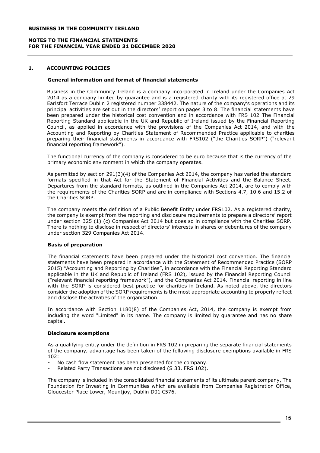#### **NOTES TO THE FINANCIAL STATEMENTS FOR THE FINANCIAL YEAR ENDED 31 DECEMBER 2020**

## **1. ACCOUNTING POLICIES**

#### **General information and format of financial statements**

Business in the Community Ireland is a company incorporated in Ireland under the Companies Act 2014 as a company limited by guarantee and is a registered charity with its registered office at 29 Earlsfort Terrace Dublin 2 registered number 338442. The nature of the company's operations and its principal activities are set out in the directors' report on pages 3 to 8. The financial statements have been prepared under the historical cost convention and in accordance with FRS 102 The Financial Reporting Standard applicable in the UK and Republic of Ireland issued by the Financial Reporting Council, as applied in accordance with the provisions of the Companies Act 2014, and with the Accounting and Reporting by Charities Statement of Recommended Practice applicable to charities preparing their financial statements in accordance with FRS102 ("the Charities SORP") ("relevant financial reporting framework").

The functional currency of the company is considered to be euro because that is the currency of the primary economic environment in which the company operates.

As permitted by section 291(3)(4) of the Companies Act 2014, the company has varied the standard formats specified in that Act for the Statement of Financial Activities and the Balance Sheet. Departures from the standard formats, as outlined in the Companies Act 2014, are to comply with the requirements of the Charities SORP and are in compliance with Sections 4.7, 10.6 and 15.2 of the Charities SORP.

The company meets the definition of a Public Benefit Entity under FRS102. As a registered charity, the company is exempt from the reporting and disclosure requirements to prepare a directors' report under section 325 (1) (c) Companies Act 2014 but does so in compliance with the Charities SORP. There is nothing to disclose in respect of directors' interests in shares or debentures of the company under section 329 Companies Act 2014.

## **Basis of preparation**

The financial statements have been prepared under the historical cost convention. The financial statements have been prepared in accordance with the Statement of Recommended Practice (SORP 2015) "Accounting and Reporting by Charities", in accordance with the Financial Reporting Standard applicable in the UK and Republic of Ireland (FRS 102), issued by the Financial Reporting Council ("relevant financial reporting framework"), and the Companies Act 2014. Financial reporting in line with the SORP is considered best practice for charities in Ireland. As noted above, the directors consider the adoption of the SORP requirements is the most appropriate accounting to properly reflect and disclose the activities of the organisation.

In accordance with Section 1180(8) of the Companies Act, 2014, the company is exempt from including the word "Limited" in its name. The company is limited by guarantee and has no share capital.

#### **Disclosure exemptions**

As a qualifying entity under the definition in FRS 102 in preparing the separate financial statements of the company, advantage has been taken of the following disclosure exemptions available in FRS 102:

- No cash flow statement has been presented for the company.
- Related Party Transactions are not disclosed (S 33. FRS 102).

The company is included in the consolidated financial statements of its ultimate parent company, The Foundation for Investing in Communities which are available from Companies Registration Office, Gloucester Place Lower, Mountjoy, Dublin D01 C576.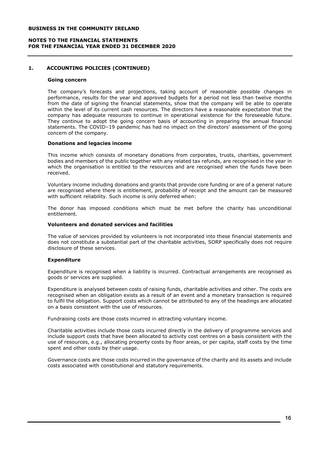#### **NOTES TO THE FINANCIAL STATEMENTS FOR THE FINANCIAL YEAR ENDED 31 DECEMBER 2020**

## **1. ACCOUNTING POLICIES (CONTINUED)**

#### **Going concern**

The company's forecasts and projections, taking account of reasonable possible changes in performance, results for the year and approved budgets for a period not less than twelve months from the date of signing the financial statements, show that the company will be able to operate within the level of its current cash resources. The directors have a reasonable expectation that the company has adequate resources to continue in operational existence for the foreseeable future. They continue to adopt the going concern basis of accounting in preparing the annual financial statements. The COVID–19 pandemic has had no impact on the directors' assessment of the going concern of the company.

#### **Donations and legacies income**

This income which consists of monetary donations from corporates, trusts, charities, government bodies and members of the public together with any related tax refunds, are recognised in the year in which the organisation is entitled to the resources and are recognised when the funds have been received.

Voluntary income including donations and grants that provide core funding or are of a general nature are recognised where there is entitlement, probability of receipt and the amount can be measured with sufficient reliability. Such income is only deferred when:

The donor has imposed conditions which must be met before the charity has unconditional entitlement.

#### **Volunteers and donated services and facilities**

The value of services provided by volunteers is not incorporated into these financial statements and does not constitute a substantial part of the charitable activities, SORP specifically does not require disclosure of these services.

## **Expenditure**

Expenditure is recognised when a liability is incurred. Contractual arrangements are recognised as goods or services are supplied.

Expenditure is analysed between costs of raising funds, charitable activities and other. The costs are recognised when an obligation exists as a result of an event and a monetary transaction is required to fulfil the obligation. Support costs which cannot be attributed to any of the headings are allocated on a basis consistent with the use of resources.

Fundraising costs are those costs incurred in attracting voluntary income.

Charitable activities include those costs incurred directly in the delivery of programme services and include support costs that have been allocated to activity cost centres on a basis consistent with the use of resources, e.g., allocating property costs by floor areas, or per capita, staff costs by the time spent and other costs by their usage.

Governance costs are those costs incurred in the governance of the charity and its assets and include costs associated with constitutional and statutory requirements.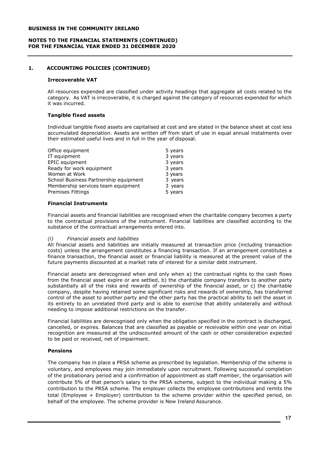#### **NOTES TO THE FINANCIAL STATEMENTS (CONTINUED) FOR THE FINANCIAL YEAR ENDED 31 DECEMBER 2020**

# **1. ACCOUNTING POLICIES (CONTINUED)**

#### **Irrecoverable VAT**

All resources expended are classified under activity headings that aggregate all costs related to the category. As VAT is irrecoverable, it is charged against the category of resources expended for which it was incurred.

## **Tangible fixed assets**

Individual tangible fixed assets are capitalised at cost and are stated in the balance sheet at cost less accumulated depreciation. Assets are written off from start of use in equal annual instalments over their estimated useful lives and in full in the year of disposal.

| Office equipment                      | 5 years |
|---------------------------------------|---------|
| IT equipment                          | 3 years |
| EPIC equipment                        | 3 years |
| Ready for work equipment              | 3 years |
| Women at Work                         | 3 years |
| School Business Partnership equipment | 3 years |
| Membership services team equipment    | 3 years |
| Premises Fittings                     | 5 years |

## **Financial Instruments**

Financial assets and financial liabilities are recognised when the charitable company becomes a party to the contractual provisions of the instrument. Financial liabilities are classified according to the substance of the contractual arrangements entered into.

## *(i) Financial assets and liabilities*

All financial assets and liabilities are initially measured at transaction price (including transaction costs) unless the arrangement constitutes a financing transaction. If an arrangement constitutes a finance transaction, the financial asset or financial liability is measured at the present value of the future payments discounted at a market rate of interest for a similar debt instrument.

Financial assets are derecognised when and only when a) the contractual rights to the cash flows from the financial asset expire or are settled, b) the charitable company transfers to another party substantially all of the risks and rewards of ownership of the financial asset, or c) the charitable company, despite having retained some significant risks and rewards of ownership, has transferred control of the asset to another party and the other party has the practical ability to sell the asset in its entirety to an unrelated third party and is able to exercise that ability unilaterally and without needing to impose additional restrictions on the transfer.

Financial liabilities are derecognised only when the obligation specified in the contract is discharged, cancelled, or expires. Balances that are classified as payable or receivable within one year on initial recognition are measured at the undiscounted amount of the cash or other consideration expected to be paid or received, net of impairment.

## **Pensions**

The company has in place a PRSA scheme as prescribed by legislation. Membership of the scheme is voluntary, and employees may join immediately upon recruitment. Following successful completion of the probationary period and a confirmation of appointment as staff member, the organisation will contribute 5% of that person's salary to the PRSA scheme, subject to the individual making a 5% contribution to the PRSA scheme. The employer collects the employee contributions and remits the total (Employee + Employer) contribution to the scheme provider within the specified period, on behalf of the employee. The scheme provider is New Ireland Assurance.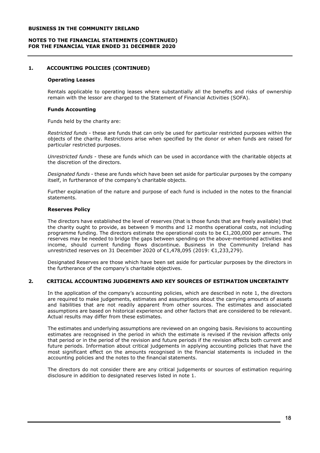#### **NOTES TO THE FINANCIAL STATEMENTS (CONTINUED) FOR THE FINANCIAL YEAR ENDED 31 DECEMBER 2020**

## **1. ACCOUNTING POLICIES (CONTINUED)**

#### **Operating Leases**

Rentals applicable to operating leases where substantially all the benefits and risks of ownership remain with the lessor are charged to the Statement of Financial Activities (SOFA).

#### **Funds Accounting**

Funds held by the charity are:

*Restricted funds* - these are funds that can only be used for particular restricted purposes within the objects of the charity. Restrictions arise when specified by the donor or when funds are raised for particular restricted purposes.

*Unrestricted funds* - these are funds which can be used in accordance with the charitable objects at the discretion of the directors.

*Designated funds* - these are funds which have been set aside for particular purposes by the company itself, in furtherance of the company's charitable objects.

Further explanation of the nature and purpose of each fund is included in the notes to the financial statements.

#### **Reserves Policy**

The directors have established the level of reserves (that is those funds that are freely available) that the charity ought to provide, as between 9 months and 12 months operational costs, not including programme funding. The directors estimate the operational costs to be  $£1,200,000$  per annum. The reserves may be needed to bridge the gaps between spending on the above-mentioned activities and income, should current funding flows discontinue. Business in the Community Ireland has unrestricted reserves on 31 December 2020 of €1,478,095 (2019: €1,233,279).

Designated Reserves are those which have been set aside for particular purposes by the directors in the furtherance of the company's charitable objectives.

## **2. CRITICAL ACCOUNTING JUDGEMENTS AND KEY SOURCES OF ESTIMATION UNCERTAINTY**

In the application of the company's accounting policies, which are described in note 1, the directors are required to make judgements, estimates and assumptions about the carrying amounts of assets and liabilities that are not readily apparent from other sources. The estimates and associated assumptions are based on historical experience and other factors that are considered to be relevant. Actual results may differ from these estimates.

The estimates and underlying assumptions are reviewed on an ongoing basis. Revisions to accounting estimates are recognised in the period in which the estimate is revised if the revision affects only that period or in the period of the revision and future periods if the revision affects both current and future periods. Information about critical judgements in applying accounting policies that have the most significant effect on the amounts recognised in the financial statements is included in the accounting policies and the notes to the financial statements.

The directors do not consider there are any critical judgements or sources of estimation requiring disclosure in addition to designated reserves listed in note 1.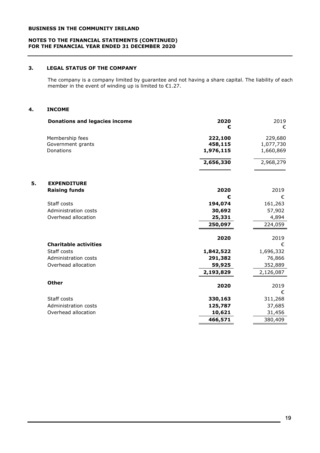#### **NOTES TO THE FINANCIAL STATEMENTS (CONTINUED) FOR THE FINANCIAL YEAR ENDED 31 DECEMBER 2020**

# **3. LEGAL STATUS OF THE COMPANY**

The company is a company limited by guarantee and not having a share capital. The liability of each member in the event of winding up is limited to  $\epsilon$ 1.27.

## **4. INCOME**

|    | <b>Donations and legacies income</b> | 2020      | 2019      |
|----|--------------------------------------|-----------|-----------|
|    |                                      | €         | €         |
|    | Membership fees                      | 222,100   | 229,680   |
|    | Government grants                    | 458,115   | 1,077,730 |
|    | Donations                            | 1,976,115 | 1,660,869 |
|    |                                      | 2,656,330 | 2,968,279 |
| 5. | <b>EXPENDITURE</b>                   |           |           |
|    | <b>Raising funds</b>                 | 2020      | 2019      |
|    |                                      | €         | €         |
|    | Staff costs                          | 194,074   | 161,263   |
|    | Administration costs                 | 30,692    | 57,902    |
|    | Overhead allocation                  | 25,331    | 4,894     |
|    |                                      | 250,097   | 224,059   |
|    |                                      | 2020      | 2019      |
|    | <b>Charitable activities</b>         |           | €         |
|    | Staff costs                          | 1,842,522 | 1,696,332 |
|    | Administration costs                 | 291,382   | 76,866    |
|    | Overhead allocation                  | 59,925    | 352,889   |
|    |                                      | 2,193,829 | 2,126,087 |
|    | <b>Other</b>                         | 2020      | 2019      |
|    |                                      |           | €         |
|    | Staff costs                          | 330,163   | 311,268   |
|    | Administration costs                 | 125,787   | 37,685    |
|    | Overhead allocation                  | 10,621    | 31,456    |
|    |                                      | 466,571   | 380,409   |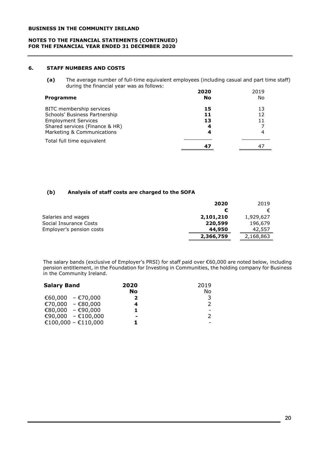#### **NOTES TO THE FINANCIAL STATEMENTS (CONTINUED) FOR THE FINANCIAL YEAR ENDED 31 DECEMBER 2020**

# **6. STAFF NUMBERS AND COSTS**

**(a)** The average number of full-time equivalent employees (including casual and part time staff) during the financial year was as follows:

| Programme                      | 2020<br>No | 2019<br>No. |
|--------------------------------|------------|-------------|
| BITC membership services       | 15         | 13          |
| Schools' Business Partnership  | 11         | 12          |
| <b>Employment Services</b>     | 13         |             |
| Shared services (Finance & HR) | 4          |             |
| Marketing & Communications     | 4          |             |
| Total full time equivalent     |            |             |
|                                | 47         | 4           |

# **(b) Analysis of staff costs are charged to the SOFA**

|                          | 2020      | 2019      |
|--------------------------|-----------|-----------|
|                          |           | €         |
| Salaries and wages       | 2,101,210 | 1,929,627 |
| Social Insurance Costs   | 220,599   | 196,679   |
| Employer's pension costs | 44,950    | 42,557    |
|                          | 2,366,759 | 2,168,863 |

The salary bands (exclusive of Employer's PRSI) for staff paid over €60,000 are noted below, including pension entitlement, in the Foundation for Investing in Communities, the holding company for Business in the Community Ireland.

| <b>Salary Band</b>  | 2020 | 2019 |
|---------------------|------|------|
|                     | No   | No   |
| €60,000 - €70,000   | 2    | 3    |
| €70,000 - €80,000   |      | 2    |
| €80,000 - €90,000   |      |      |
| €90,000 - €100,000  | -    | 2    |
| €100,000 - €110,000 |      |      |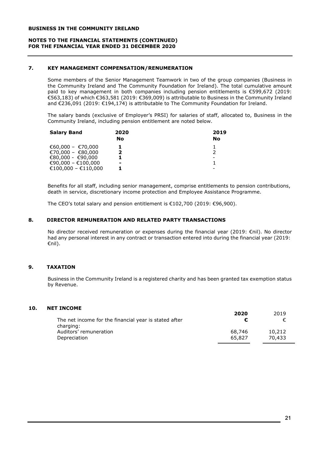#### **NOTES TO THE FINANCIAL STATEMENTS (CONTINUED) FOR THE FINANCIAL YEAR ENDED 31 DECEMBER 2020**

## **7. KEY MANAGEMENT COMPENSATION/RENUMERATION**

Some members of the Senior Management Teamwork in two of the group companies (Business in the Community Ireland and The Community Foundation for Ireland). The total cumulative amount paid to key management in both companies including pension entitlements is €599,672 (2019: €563,183) of which €363,581 (2019: €369,009) is attributable to Business in the Community Ireland and €236,091 (2019: €194,174) is attributable to The Community Foundation for Ireland.

The salary bands (exclusive of Employer's PRSI) for salaries of staff, allocated to, Business in the Community Ireland, including pension entitlement are noted below.

| 2020<br>No | 2019<br>No |
|------------|------------|
| 2          |            |
|            |            |
| -          |            |
|            |            |

Benefits for all staff, including senior management, comprise entitlements to pension contributions, death in service, discretionary income protection and Employee Assistance Programme.

The CEO's total salary and pension entitlement is €102,700 (2019: €96,900).

## **8. DIRECTOR REMUNERATION AND RELATED PARTY TRANSACTIONS**

No director received remuneration or expenses during the financial year (2019: €nil). No director had any personal interest in any contract or transaction entered into during the financial year (2019: €nil).

# **9. TAXATION**

Business in the Community Ireland is a registered charity and has been granted tax exemption status by Revenue.

## **10. NET INCOME**

| The net income for the financial year is stated after<br>charging: | 2020   | 2019   |
|--------------------------------------------------------------------|--------|--------|
| Auditors' remuneration                                             | 68,746 | 10,212 |
| Depreciation                                                       | 65.827 | 70,433 |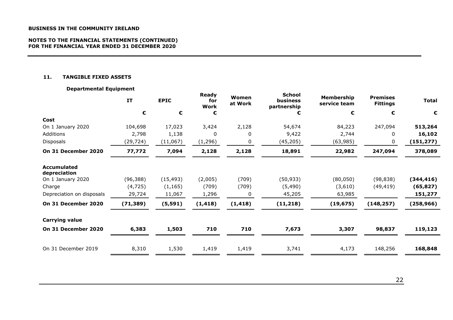#### **NOTES TO THE FINANCIAL STATEMENTS (CONTINUED) FOR THE FINANCIAL YEAR ENDED 31 DECEMBER 2020**

## **11. TANGIBLE FIXED ASSETS**

## **Departmental Equipment**

|                                    | IT        | <b>EPIC</b> | Ready<br>for<br>Work | Women<br>at Work | School<br>business<br>partnership | Membership<br>service team | <b>Premises</b><br><b>Fittings</b> | <b>Total</b> |
|------------------------------------|-----------|-------------|----------------------|------------------|-----------------------------------|----------------------------|------------------------------------|--------------|
|                                    | €         | €           | €                    |                  |                                   | €                          | €                                  | €            |
| Cost                               |           |             |                      |                  |                                   |                            |                                    |              |
| On 1 January 2020                  | 104,698   | 17,023      | 3,424                | 2,128            | 54,674                            | 84,223                     | 247,094                            | 513,264      |
| Additions                          | 2,798     | 1,138       | 0                    | $\Omega$         | 9,422                             | 2,744                      | 0                                  | 16,102       |
| Disposals                          | (29,724)  | (11,067)    | (1, 296)             | 0                | (45, 205)                         | (63, 985)                  | 0                                  | (151, 277)   |
| On 31 December 2020                | 77,772    | 7,094       | 2,128                | 2,128            | 18,891                            | 22,982                     | 247,094                            | 378,089      |
| <b>Accumulated</b><br>depreciation |           |             |                      |                  |                                   |                            |                                    |              |
| On 1 January 2020                  | (96, 388) | (15, 493)   | (2,005)              | (709)            | (50, 933)                         | (80, 050)                  | (98, 838)                          | (344, 416)   |
| Charge                             | (4, 725)  | (1, 165)    | (709)                | (709)            | (5,490)                           | (3,610)                    | (49, 419)                          | (65, 827)    |
| Depreciation on disposals          | 29,724    | 11,067      | 1,296                | 0                | 45,205                            | 63,985                     |                                    | 151,277      |
| On 31 December 2020                | (71, 389) | (5, 591)    | (1, 418)             | (1, 418)         | (11, 218)                         | (19, 675)                  | (148, 257)                         | (258, 966)   |
| <b>Carrying value</b>              |           |             |                      |                  |                                   |                            |                                    |              |
| On 31 December 2020                | 6,383     | 1,503       | 710                  | 710              | 7,673                             | 3,307                      | 98,837                             | 119,123      |
| On 31 December 2019                | 8,310     | 1,530       | 1,419                | 1,419            | 3,741                             | 4,173                      | 148,256                            | 168,848      |
|                                    |           |             |                      |                  |                                   |                            |                                    |              |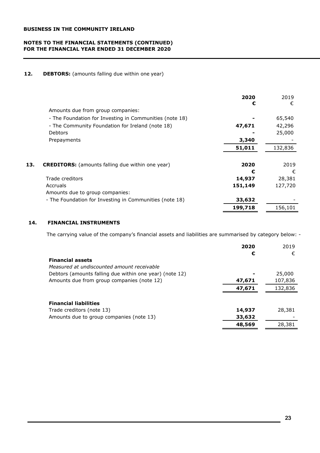## **NOTES TO THE FINANCIAL STATEMENTS (CONTINUED) FOR THE FINANCIAL YEAR ENDED 31 DECEMBER 2020**

## 12. **DEBTORS:** (amounts falling due within one year)

|                                                         | 2020<br>€         | 2019<br>€         |
|---------------------------------------------------------|-------------------|-------------------|
| Amounts due from group companies:                       |                   |                   |
| - The Foundation for Investing in Communities (note 18) |                   | 65,540            |
| - The Community Foundation for Ireland (note 18)        | 47,671            | 42,296            |
| <b>Debtors</b>                                          |                   | 25,000            |
| Prepayments                                             | 3,340             |                   |
|                                                         | 51,011            | 132,836           |
| 13.                                                     | 2020              | 2019              |
| <b>CREDITORS:</b> (amounts falling due within one year) | €                 | €                 |
| Trade creditors<br>Accruals                             | 14,937<br>151,149 | 28,381<br>127,720 |
| Amounts due to group companies:                         |                   |                   |
| - The Foundation for Investing in Communities (note 18) | 33,632            |                   |
|                                                         | 199,718           | 156,101           |

# **14. FINANCIAL INSTRUMENTS**

The carrying value of the company's financial assets and liabilities are summarised by category below: -

|                                                         | 2020   | 2019    |
|---------------------------------------------------------|--------|---------|
|                                                         | €      | €       |
| <b>Financial assets</b>                                 |        |         |
| Measured at undiscounted amount receivable              |        |         |
| Debtors (amounts falling due within one year) (note 12) |        | 25,000  |
| Amounts due from group companies (note 12)              | 47,671 | 107,836 |
|                                                         | 47,671 | 132,836 |
|                                                         |        |         |
| <b>Financial liabilities</b>                            |        |         |
| Trade creditors (note 13)                               | 14,937 | 28,381  |
| Amounts due to group companies (note 13)                | 33,632 |         |
|                                                         | 48,569 | 28,381  |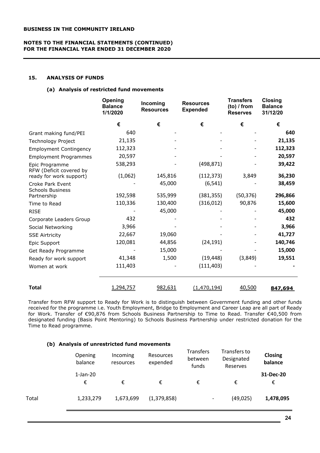## **NOTES TO THE FINANCIAL STATEMENTS (CONTINUED) FOR THE FINANCIAL YEAR ENDED 31 DECEMBER 2020**

# **15. ANALYSIS OF FUNDS**

#### **(a) Analysis of restricted fund movements**

|                                             | Opening<br><b>Balance</b><br>1/1/2020 | Incoming<br><b>Resources</b> | <b>Resources</b><br><b>Expended</b> | <b>Transfers</b><br>$(to)$ / from<br><b>Reserves</b> | <b>Closing</b><br><b>Balance</b><br>31/12/20 |
|---------------------------------------------|---------------------------------------|------------------------------|-------------------------------------|------------------------------------------------------|----------------------------------------------|
|                                             | €                                     | €                            | €                                   | €                                                    | €                                            |
| Grant making fund/PEI                       | 640                                   |                              |                                     |                                                      | 640                                          |
| Technology Project                          | 21,135                                |                              |                                     |                                                      | 21,135                                       |
| <b>Employment Contingency</b>               | 112,323                               |                              |                                     |                                                      | 112,323                                      |
| <b>Employment Programmes</b>                | 20,597                                |                              |                                     |                                                      | 20,597                                       |
| Epic Programme<br>RFW (Deficit covered by   | 538,293                               |                              | (498, 871)                          |                                                      | 39,422                                       |
| ready for work support)                     | (1,062)                               | 145,816                      | (112, 373)                          | 3,849                                                | 36,230                                       |
| Croke Park Event<br><b>Schools Business</b> |                                       | 45,000                       | (6, 541)                            |                                                      | 38,459                                       |
| Partnership                                 | 192,598                               | 535,999                      | (381, 355)                          | (50, 376)                                            | 296,866                                      |
| Time to Read                                | 110,336                               | 130,400                      | (316, 012)                          | 90,876                                               | 15,600                                       |
| <b>RISE</b>                                 |                                       | 45,000                       |                                     |                                                      | 45,000                                       |
| Corporate Leaders Group                     | 432                                   |                              |                                     |                                                      | 432                                          |
| Social Networking                           | 3,966                                 |                              |                                     |                                                      | 3,966                                        |
| <b>SSE Airtricity</b>                       | 22,667                                | 19,060                       |                                     |                                                      | 41,727                                       |
| Epic Support                                | 120,081                               | 44,856                       | (24, 191)                           |                                                      | 140,746                                      |
| Get Ready Programme                         |                                       | 15,000                       |                                     |                                                      | 15,000                                       |
| Ready for work support                      | 41,348                                | 1,500                        | (19, 448)                           | (3,849)                                              | 19,551                                       |
| Women at work                               | 111,403                               |                              | (111, 403)                          |                                                      |                                              |
| <b>Total</b>                                | 1,294,757                             | 982,631                      | (1, 470, 194)                       | 40,500                                               | 847,694                                      |

Transfer from RFW support to Ready for Work is to distinguish between Government funding and other funds received for the programme i.e. Youth Employment, Bridge to Employment and Career Leap are all part of Ready for Work. Transfer of €90,876 from Schools Business Partnership to Time to Read. Transfer €40,500 from designated funding (Basis Point Mentoring) to Schools Business Partnership under restricted donation for the Time to Read programme.

## **(b) Analysis of unrestricted fund movements**

|       | Opening<br>balance | Incoming<br>resources | Resources<br>expended | <b>Transfers</b><br>between<br>funds | Transfers to<br>Designated<br>Reserves | <b>Closing</b><br>balance |
|-------|--------------------|-----------------------|-----------------------|--------------------------------------|----------------------------------------|---------------------------|
|       | $1$ -Jan-20<br>€   | €                     | €                     | €                                    | €                                      | 31-Dec-20<br>€            |
| Total | 1,233,279          | 1,673,699             | (1,379,858)           | $\overline{\phantom{a}}$             | (49, 025)                              | 1,478,095                 |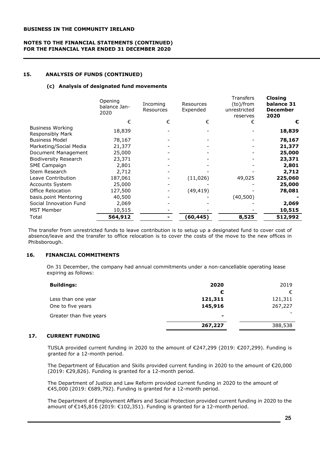## **NOTES TO THE FINANCIAL STATEMENTS (CONTINUED) FOR THE FINANCIAL YEAR ENDED 31 DECEMBER 2020**

## **15. ANALYSIS OF FUNDS (CONTINUED)**

## **(c) Analysis of designated fund movements**

|                                             | Opening<br>balance Jan-<br>2020 | Incoming<br>Resources | Resources<br>Expended | Transfers<br>(to)/from<br>unrestricted<br>reserves | <b>Closing</b><br>balance 31<br><b>December</b><br>2020 |
|---------------------------------------------|---------------------------------|-----------------------|-----------------------|----------------------------------------------------|---------------------------------------------------------|
|                                             | €                               | €                     | €                     | €                                                  | €                                                       |
| <b>Business Working</b><br>Responsibly Mark | 18,839                          |                       |                       |                                                    | 18,839                                                  |
| <b>Business Model</b>                       | 78,167                          |                       |                       |                                                    | 78,167                                                  |
| Marketing/Social Media                      | 21,377                          |                       |                       |                                                    | 21,377                                                  |
| Document Management                         | 25,000                          |                       |                       |                                                    | 25,000                                                  |
| <b>Biodiversity Research</b>                | 23,371                          |                       |                       |                                                    | 23,371                                                  |
| <b>SME Campaign</b>                         | 2,801                           |                       |                       |                                                    | 2,801                                                   |
| Stem Research                               | 2,712                           |                       |                       |                                                    | 2,712                                                   |
| Leave Contribution                          | 187,061                         |                       | (11,026)              | 49,025                                             | 225,060                                                 |
| Accounts System                             | 25,000                          |                       |                       |                                                    | 25,000                                                  |
| Office Relocation                           | 127,500                         |                       | (49, 419)             |                                                    | 78,081                                                  |
| basis.point Mentoring                       | 40,500                          |                       |                       | (40,500)                                           |                                                         |
| Social Innovation Fund                      | 2,069                           |                       |                       |                                                    | 2,069                                                   |
| <b>MST Member</b>                           | 10,515                          |                       |                       |                                                    | 10,515                                                  |
| Total                                       | 564,912                         |                       | (60, 445)             | 8,525                                              | 512,992                                                 |
|                                             |                                 |                       |                       |                                                    |                                                         |

The transfer from unrestricted funds to leave contribution is to setup up a designated fund to cover cost of absence/leave and the transfer to office relocation is to cover the costs of the move to the new offices in Phibsborough.

## **16. FINANCIAL COMMITMENTS**

On 31 December, the company had annual commitments under a non-cancellable operating lease expiring as follows:

| <b>Buildings:</b>       | 2020           | 2019    |
|-------------------------|----------------|---------|
|                         | €              | €       |
| Less than one year      | 121,311        | 121,311 |
| One to five years       | 145,916        | 267,227 |
| Greater than five years | $\blacksquare$ |         |
|                         | 267,227        | 388,538 |

## **17. CURRENT FUNDING**

TUSLA provided current funding in 2020 to the amount of €247,299 (2019: €207,299). Funding is granted for a 12-month period.

The Department of Education and Skills provided current funding in 2020 to the amount of €20,000 (2019: €29,826). Funding is granted for a 12-month period.

The Department of Justice and Law Reform provided current funding in 2020 to the amount of €45,000 (2019: €689,792). Funding is granted for a 12-month period.

The Department of Employment Affairs and Social Protection provided current funding in 2020 to the amount of €145,816 (2019: €102,351). Funding is granted for a 12-month period.